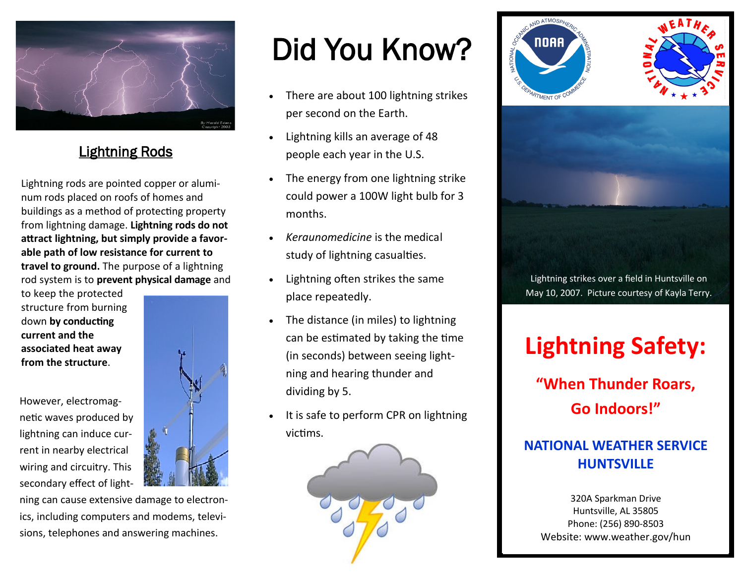

## Lightning Rods

Lightning rods are pointed copper or aluminum rods placed on roofs of homes and buildings as a method of protecting property from lightning damage. **Lightning rods do not attract lightning, but simply provide a favorable path of low resistance for current to travel to ground.** The purpose of a lightning rod system is to **prevent physical damage** and

to keep the protected structure from burning down **by conducting current and the associated heat away from the structure**.

However, electromagnetic waves produced by lightning can induce current in nearby electrical wiring and circuitry. This secondary effect of light-



ning can cause extensive damage to electronics, including computers and modems, televisions, telephones and answering machines.

# Did You Know?

- There are about 100 lightning strikes per second on the Earth.
- Lightning kills an average of 48 people each year in the U.S.
- The energy from one lightning strike could power a 100W light bulb for 3 months.
- *Keraunomedicine* is the medical study of lightning casualties.
- Lightning often strikes the same place repeatedly.
- The distance (in miles) to lightning can be estimated by taking the time (in seconds) between seeing lightning and hearing thunder and dividing by 5.
- It is safe to perform CPR on lightning victims.







Lightning strikes over a field in Huntsville on May 10, 2007. Picture courtesy of Kayla Terry.

## **Lightning Safety:**

**"When Thunder Roars, Go Indoors!"**

## **NATIONAL WEATHER SERVICE HUNTSVILLE**

320A Sparkman Drive Huntsville, AL 35805 Phone: (256) 890-8503 Website: www.weather.gov/hun